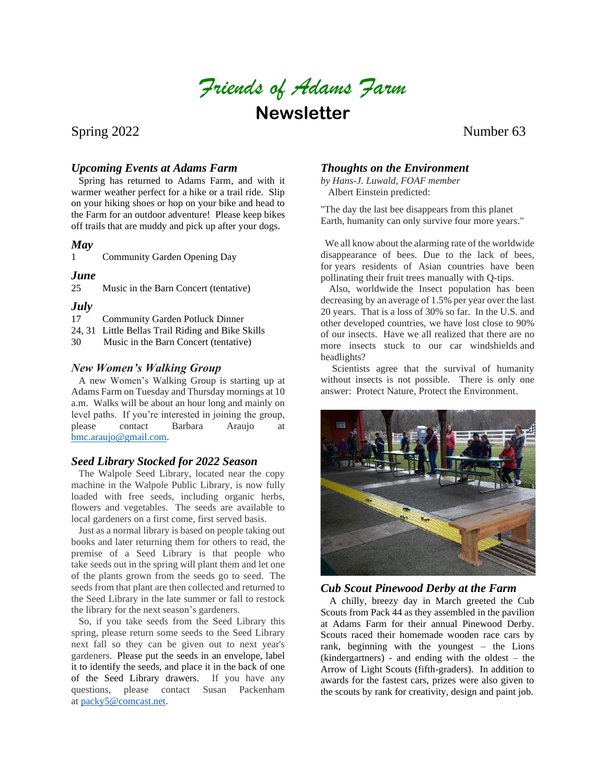*Friends of Adams Farm*

**Newsletter**

Spring 2022 Number 63

# *Upcoming Events at Adams Farm*

 Spring has returned to Adams Farm, and with it warmer weather perfect for a hike or a trail ride. Slip on your hiking shoes or hop on your bike and head to the Farm for an outdoor adventure! Please keep bikes off trails that are muddy and pick up after your dogs.

## *May*

1 Community Garden Opening Day

# *June*

25 Music in the Barn Concert (tentative)

# *July*

- 17 Community Garden Potluck Dinner
- 24, 31 Little Bellas Trail Riding and Bike Skills

30 Music in the Barn Concert (tentative)

# *New Women's Walking Group*

 A new Women's Walking Group is starting up at Adams Farm on Tuesday and Thursday mornings at 10 a.m. Walks will be about an hour long and mainly on level paths. If you're interested in joining the group, please contact Barbara Araujo at [bmc.araujo@gmail.com.](mailto:bmc.araujo@gmail.com)

## *Seed Library Stocked for 2022 Season*

 The Walpole Seed Library, located near the copy machine in the Walpole Public Library, is now fully loaded with free seeds, including organic herbs, flowers and vegetables. The seeds are available to local gardeners on a first come, first served basis.

 Just as a normal library is based on people taking out books and later returning them for others to read, the premise of a Seed Library is that people who take seeds out in the spring will plant them and let one of the plants grown from the seeds go to seed. The seeds from that plant are then collected and returned to the Seed Library in the late summer or fall to restock the library for the next season's gardeners.

 So, if you take seeds from the Seed Library this spring, please return some seeds to the Seed Library next fall so they can be given out to next year's gardeners. Please put the seeds in an envelope, label it to identify the seeds, and place it in the back of one of the Seed Library drawers. If you have any questions, please contact Susan Packenham at [packy5@comcast.net.](mailto:packy5@comcast.net)

# *Thoughts on the Environment*

*by Hans-J. Luwald, FOAF member* Albert Einstein predicted:

"The day the last bee disappears from this planet Earth, humanity can only survive four more years."

We all know about the alarming rate of the worldwide disappearance of bees. Due to the lack of bees, for years residents of Asian countries have been pollinating their fruit trees manually with Q-tips.

Also, worldwide the Insect population has been decreasing by an average of 1.5% per year over the last 20 years. That is a loss of 30% so far. In the U.S. and other developed countries, we have lost close to 90% of our insects. Have we all realized that there are no more insects stuck to our car windshields and headlights?

Scientists agree that the survival of humanity without insects is not possible. There is only one answer: Protect Nature, Protect the Environment.



#### *Cub Scout Pinewood Derby at the Farm*

A chilly, breezy day in March greeted the Cub Scouts from Pack 44 as they assembled in the pavilion at Adams Farm for their annual Pinewood Derby. Scouts raced their homemade wooden race cars by rank, beginning with the youngest – the Lions (kindergartners) - and ending with the oldest – the Arrow of Light Scouts (fifth-graders). In addition to awards for the fastest cars, prizes were also given to the scouts by rank for creativity, design and paint job.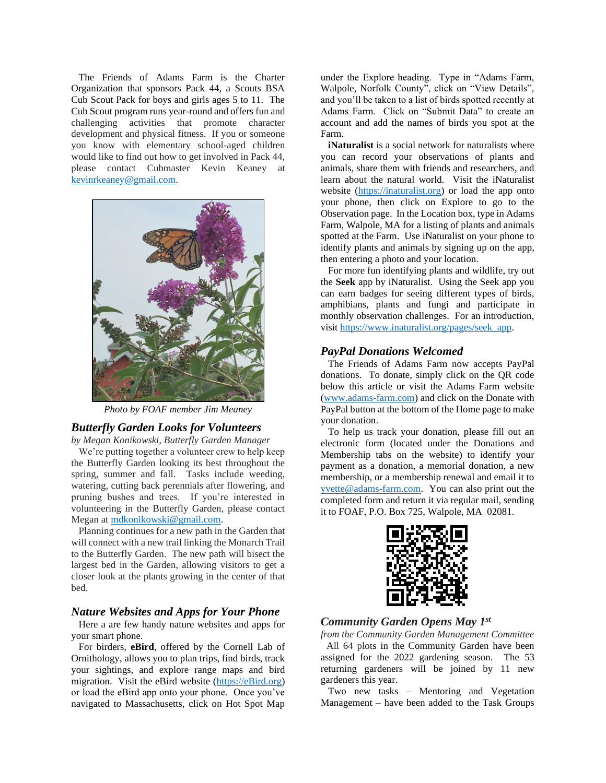The Friends of Adams Farm is the Charter Organization that sponsors Pack 44, a Scouts BSA Cub Scout Pack for boys and girls ages 5 to 11. The Cub Scout program runs year-round and offers fun and challenging activities that promote character development and physical fitness. If you or someone you know with elementary school-aged children would like to find out how to get involved in Pack 44, please contact Cubmaster Kevin Keaney at [kevinrkeaney@gmail.com.](mailto:kevinrkeaney@gmail.com)



*Photo by FOAF member Jim Meaney*

## *Butterfly Garden Looks for Volunteers*

*by Megan Konikowski, Butterfly Garden Manager*

 We're putting together a volunteer crew to help keep the Butterfly Garden looking its best throughout the spring, summer and fall. Tasks include weeding, watering, cutting back perennials after flowering, and pruning bushes and trees. If you're interested in volunteering in the Butterfly Garden, please contact Megan at [mdkonikowski@gmail.com.](mailto:mdkonikowski@gmail.com)

 Planning continues for a new path in the Garden that will connect with a new trail linking the Monarch Trail to the Butterfly Garden. The new path will bisect the largest bed in the Garden, allowing visitors to get a closer look at the plants growing in the center of that bed.

#### *Nature Websites and Apps for Your Phone*

 Here a are few handy nature websites and apps for your smart phone.

 For birders, **eBird**, offered by the Cornell Lab of Ornithology, allows you to plan trips, find birds, track your sightings, and explore range maps and bird migration. Visit the eBird website [\(https://eBird.org\)](https://ebird.org/) or load the eBird app onto your phone. Once you've navigated to Massachusetts, click on Hot Spot Map under the Explore heading. Type in "Adams Farm, Walpole, Norfolk County", click on "View Details", and you'll be taken to a list of birds spotted recently at Adams Farm. Click on "Submit Data" to create an account and add the names of birds you spot at the Farm.

**iNaturalist** is a social network for naturalists where you can record your observations of plants and animals, share them with friends and researchers, and learn about the natural world. Visit the iNaturalist website [\(https://inaturalist.org\)](https://inaturalist.org/) or load the app onto your phone, then click on Explore to go to the Observation page. In the Location box, type in Adams Farm, Walpole, MA for a listing of plants and animals spotted at the Farm. Use iNaturalist on your phone to identify plants and animals by signing up on the app, then entering a photo and your location.

 For more fun identifying plants and wildlife, try out the **Seek** app by iNaturalist. Using the Seek app you can earn badges for seeing different types of birds, amphibians, plants and fungi and participate in monthly observation challenges. For an introduction, visi[t https://www.inaturalist.org/pages/seek\\_app.](https://www.inaturalist.org/pages/seek_app)

#### *PayPal Donations Welcomed*

 The Friends of Adams Farm now accepts PayPal donations. To donate, simply click on the QR code below this article or visit the Adams Farm website [\(www.adams-farm.com\)](http://www.adams-farm.com/) and click on the Donate with PayPal button at the bottom of the Home page to make your donation.

 To help us track your donation, please fill out an electronic form (located under the Donations and Membership tabs on the website) to identify your payment as a donation, a memorial donation, a new membership, or a membership renewal and email it to [yvette@adams-farm.com.](mailto:yvette@adams-farm.com) You can also print out the completed form and return it via regular mail, sending it to FOAF, P.O. Box 725, Walpole, MA 02081.



## *Community Garden Opens May 1st*

*from the Community Garden Management Committee* All 64 plots in the Community Garden have been assigned for the 2022 gardening season. The 53 returning gardeners will be joined by 11 new gardeners this year.

 Two new tasks – Mentoring and Vegetation Management – have been added to the Task Groups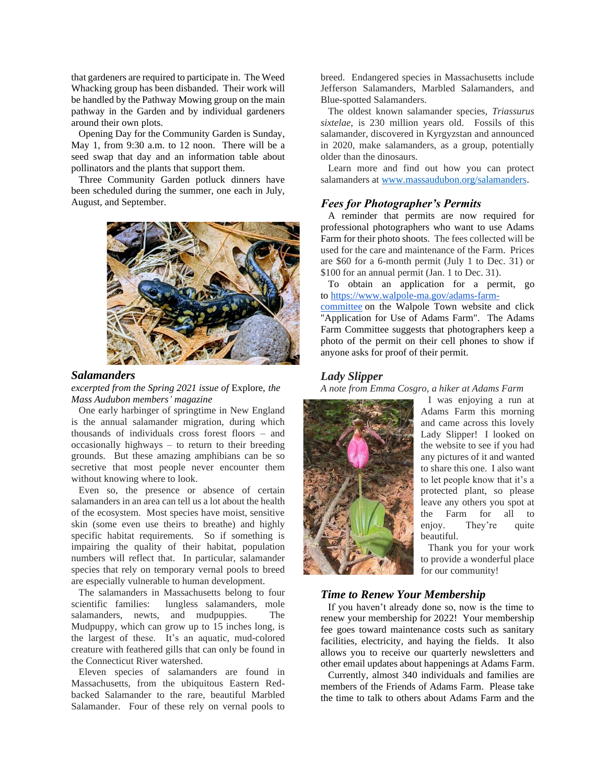that gardeners are required to participate in. The Weed Whacking group has been disbanded. Their work will be handled by the Pathway Mowing group on the main pathway in the Garden and by individual gardeners around their own plots.

 Opening Day for the Community Garden is Sunday, May 1, from 9:30 a.m. to 12 noon. There will be a seed swap that day and an information table about pollinators and the plants that support them.

 Three Community Garden potluck dinners have been scheduled during the summer, one each in July, August, and September.



#### *Salamanders*

*excerpted from the Spring 2021 issue of* Explore, *the Mass Audubon members' magazine*

 One early harbinger of springtime in New England is the annual salamander migration, during which thousands of individuals cross forest floors – and occasionally highways – to return to their breeding grounds. But these amazing amphibians can be so secretive that most people never encounter them without knowing where to look.

 Even so, the presence or absence of certain salamanders in an area can tell us a lot about the health of the ecosystem. Most species have moist, sensitive skin (some even use theirs to breathe) and highly specific habitat requirements. So if something is impairing the quality of their habitat, population numbers will reflect that. In particular, salamander species that rely on temporary vernal pools to breed are especially vulnerable to human development.

 The salamanders in Massachusetts belong to four scientific families: lungless salamanders, mole salamanders, newts, and mudpuppies. The Mudpuppy, which can grow up to 15 inches long, is the largest of these. It's an aquatic, mud-colored creature with feathered gills that can only be found in the Connecticut River watershed.

 Eleven species of salamanders are found in Massachusetts, from the ubiquitous Eastern Redbacked Salamander to the rare, beautiful Marbled Salamander. Four of these rely on vernal pools to breed. Endangered species in Massachusetts include Jefferson Salamanders, Marbled Salamanders, and Blue-spotted Salamanders.

 The oldest known salamander species, *Triassurus sixtelae*, is 230 million years old. Fossils of this salamander, discovered in Kyrgyzstan and announced in 2020, make salamanders, as a group, potentially older than the dinosaurs.

 Learn more and find out how you can protect salamanders a[t www.massaudubon.org/salamanders.](http://www.massaudubon.org/salamanders)

## *Fees for Photographer's Permits*

 A reminder that permits are now required for professional photographers who want to use Adams Farm for their photo shoots. The fees collected will be used for the care and maintenance of the Farm. Prices are \$60 for a 6-month permit (July 1 to Dec. 31) or \$100 for an annual permit (Jan. 1 to Dec. 31).

 To obtain an application for a permit, go to [https://www.walpole-ma.gov/adams-farm-](https://www.walpole-ma.gov/adams-farm-committee)

[committee](https://www.walpole-ma.gov/adams-farm-committee) on the Walpole Town website and click "Application for Use of Adams Farm". The Adams Farm Committee suggests that photographers keep a photo of the permit on their cell phones to show if anyone asks for proof of their permit.

#### *Lady Slipper*

*A note from Emma Cosgro, a hiker at Adams Farm*



I was enjoying a run at Adams Farm this morning and came across this lovely Lady Slipper! I looked on the website to see if you had any pictures of it and wanted to share this one. I also want to let people know that it's a protected plant, so please leave any others you spot at the Farm for all to enjoy. They're quite beautiful.

 Thank you for your work to provide a wonderful place for our community!

## *Time to Renew Your Membership*

 If you haven't already done so, now is the time to renew your membership for 2022! Your membership fee goes toward maintenance costs such as sanitary facilities, electricity, and haying the fields. It also allows you to receive our quarterly newsletters and other email updates about happenings at Adams Farm.

 Currently, almost 340 individuals and families are members of the Friends of Adams Farm. Please take the time to talk to others about Adams Farm and the